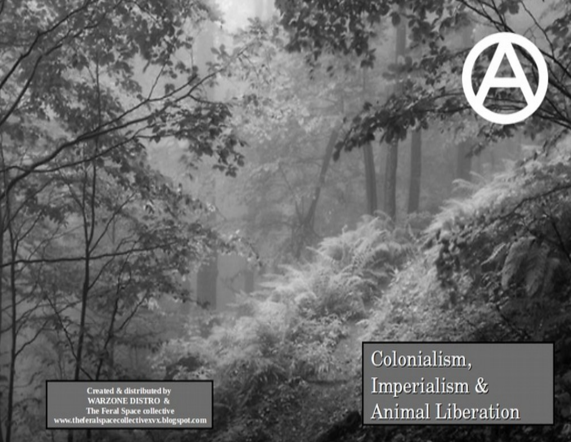Created & distributed by WARZONE DISTRO & The Feral Space collective www.theferalspacecollectivexvx.blogspot.com Colonialism, Imperialism $\&$ Animal Liberation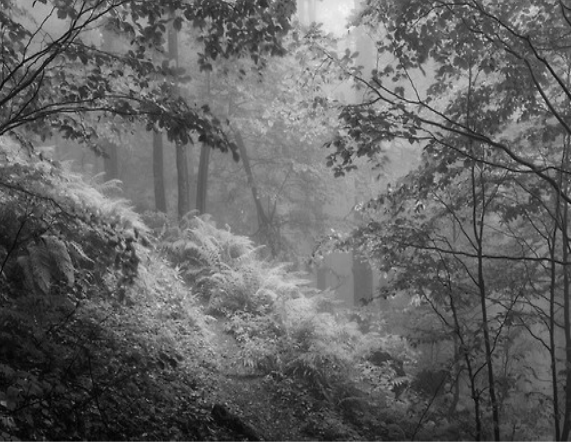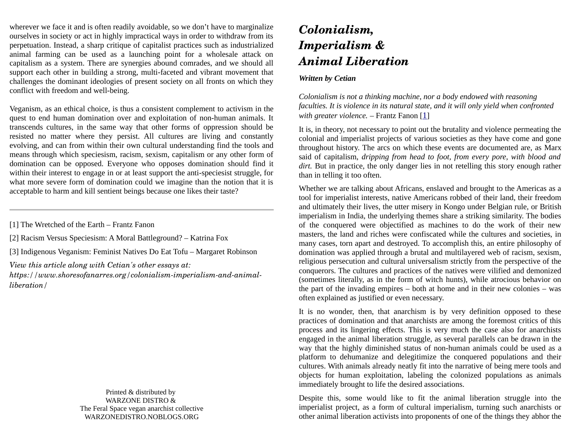wherever we face it and is often readily avoidable, so we don't have to marginalize ourselves in society or act in highly impractical ways in order to withdraw from its perpetuation. Instead, a sharp critique of capitalist practices such as industrialized animal farming can be used as a launching point for a wholesale attack on capitalism as a system. There are synergies abound comrades, and we should all support each other in building a strong, multi-faceted and vibrant movement that challenges the dominant ideologies of present society on all fronts on which they conflict with freedom and well-being.

Veganism, as an ethical choice, is thus a consistent complement to activism in the quest to end human domination over and exploitation of non-human animals. It transcends cultures, in the same way that other forms of oppression should be resisted no matter where they persist. All cultures are living and constantly evolving, and can from within their own cultural understanding find the tools and means through which speciesism, racism, sexism, capitalism or any other form of domination can be opposed. Everyone who opposes domination should find it within their interest to engage in or at least support the anti-speciesist struggle, for what more severe form of domination could we imagine than the notion that it is acceptable to harm and kill sentient beings because one likes their taste?

[2] Racism Versus Speciesism: A Moral Battleground? – Katrina Fox

[3] Indigenous Veganism: Feminist Natives Do Eat Tofu – Margaret Robinson

*View this article along with Cetian's other essays at:*

https://www.shoresofanarres.org/colonialism-imperialism-and-animal*liberation/*

> Printed & distributed by WARZONE DISTRO & The Feral Space vegan anarchist collective WARZONEDISTRO.NOBLOGS.ORG

## *Colonialism, Imperialism & Animal Liberation*

## *Written by Cetian*

*Colonialism is not a thinking machine, nor a body endowed with reasoning faculties. It is violence in its natural state, and it will only yield when confronted with greater violence.* – Frantz Fanon [[1](https://warriorpublications.files.wordpress.com/2013/01/wretched-of-the-earth-frantz-fanon.pdf)]

It is, in theory, not necessary to point out the brutality and violence permeating the colonial and imperialist projects of various societies as they have come and gone throughout history. The arcs on which these events are documented are, as Marx said of capitalism, *dripping from head to foot, from every pore, with blood and dirt*. But in practice, the only danger lies in not retelling this story enough rather than in telling it too often.

Whether we are talking about Africans, enslaved and brought to the Americas as a tool for imperialist interests, native Americans robbed of their land, their freedom and ultimately their lives, the utter misery in Kongo under Belgian rule, or British imperialism in India, the underlying themes share a striking similarity. The bodies of the conquered were objectified as machines to do the work of their new masters, the land and riches were confiscated while the cultures and societies, in many cases, torn apart and destroyed. To accomplish this, an entire philosophy of domination was applied through a brutal and multilayered web of racism, sexism, religious persecution and cultural universalism strictly from the perspective of the conquerors. The cultures and practices of the natives were vilified and demonized (sometimes literally, as in the form of witch hunts), while atrocious behavior on the part of the invading empires – both at home and in their new colonies – was often explained as justified or even necessary.

It is no wonder, then, that anarchism is by very definition opposed to these practices of domination and that anarchists are among the foremost critics of this process and its lingering effects. This is very much the case also for anarchists engaged in the animal liberation struggle, as several parallels can be drawn in the way that the highly diminished status of non-human animals could be used as a platform to dehumanize and delegitimize the conquered populations and their cultures. With animals already neatly fit into the narrative of being mere tools and objects for human exploitation, labeling the colonized populations as animals immediately brought to life the desired associations.

Despite this, some would like to fit the animal liberation struggle into the imperialist project, as a form of cultural imperialism, turning such anarchists or other animal liberation activists into proponents of one of the things they abhor the

<sup>[1]</sup> The Wretched of the Earth – Frantz Fanon